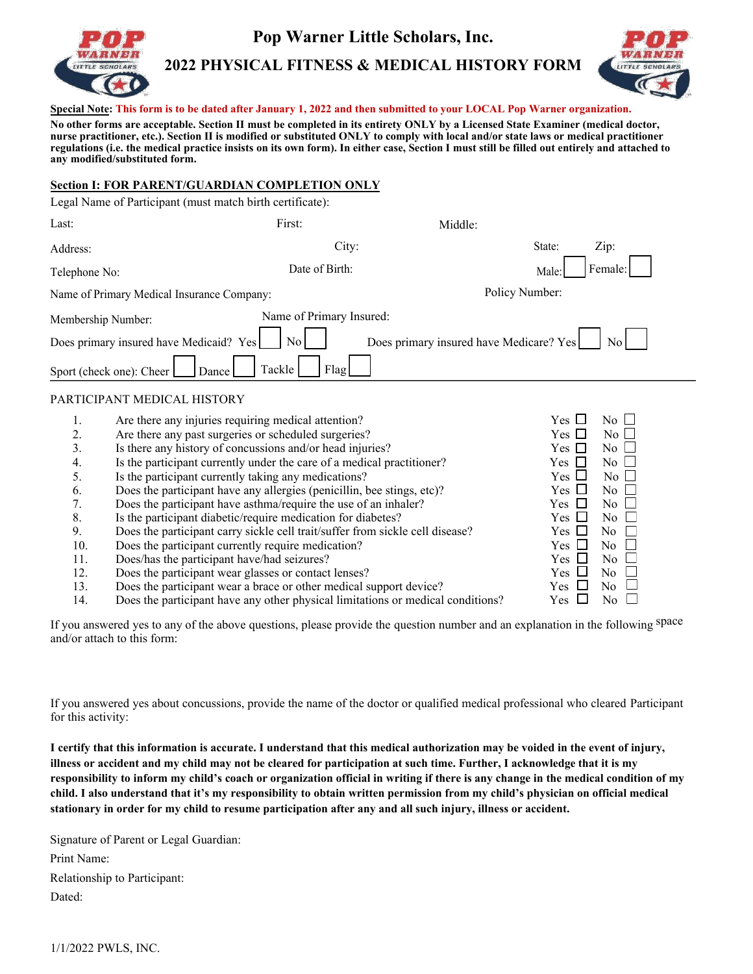

# **Pop Warner Little Scholars, Inc.**

**2022 PHYSICAL FITNESS & MEDICAL HISTORY FORM** 



**Special Note: This form is to be dated after January 1, 2022 and then submitted to your LOCAL Pop Warner organization.** 

**No other forms are acceptable. Section II must be completed in its entirety ONLY by a Licensed State Examiner (medical doctor, nurse practitioner, etc.). Section II is modified or substituted ONLY to comply with local and/or state laws or medical practitioner regulations (i.e. the medical practice insists on its own form). In either case, Section I must still be filled out entirely and attached to any modified/substituted form.** 

#### **Section I: FOR PARENT/GUARDIAN COMPLETION ONLY**

| Legal Name of Participant (must match birth certificate):                                          |                                                                  |                                         |                  |
|----------------------------------------------------------------------------------------------------|------------------------------------------------------------------|-----------------------------------------|------------------|
| Last:                                                                                              | First:                                                           | Middle:                                 |                  |
| Address:                                                                                           | City:                                                            |                                         | Zip:<br>State:   |
| Telephone No:                                                                                      | Date of Birth:                                                   |                                         | Female:<br>Male: |
| Name of Primary Medical Insurance Company:                                                         |                                                                  |                                         | Policy Number:   |
| Membership Number:<br>Does primary insured have Medicaid? Yes<br>Sport (check one): Cheer<br>Dance | Name of Primary Insured:<br>$\overline{N_{0}}$<br>Tackle<br>Flag | Does primary insured have Medicare? Yes | $\overline{N_0}$ |
|                                                                                                    |                                                                  |                                         |                  |

#### PARTICIPANT MEDICAL HISTORY

|     | Are there any injuries requiring medical attention?                             | <b>Yes</b> | No L                      |
|-----|---------------------------------------------------------------------------------|------------|---------------------------|
| 2.  | Are there any past surgeries or scheduled surgeries?                            | Yes L      | $No$ $\Box$               |
| 3.  | Is there any history of concussions and/or head injuries?                       | Yes II     | No $\Box$                 |
| 4.  | Is the participant currently under the care of a medical practitioner?          | Yes        | $No \Box$                 |
| 5.  | Is the participant currently taking any medications?                            | Yes $\Box$ | No $\Box$                 |
| 6.  | Does the participant have any allergies (penicillin, bee stings, etc)?          | Yes $\Box$ | No 1                      |
|     | Does the participant have asthma/require the use of an inhaler?                 | Yes $\Box$ | $\overline{N_0}$          |
| 8.  | Is the participant diabetic/require medication for diabetes?                    | Yes □      | $\overline{N_{0}}$ $\Box$ |
| 9.  | Does the participant carry sickle cell trait/suffer from sickle cell disease?   | Yes ⊔      | $\overline{N_0}$          |
| 10. | Does the participant currently require medication?                              | Yes Ll     | $\overline{N}_{0}$        |
| 11. | Does/has the participant have/had seizures?                                     | Yes I      | $No$ $\Box$               |
| 12. | Does the participant wear glasses or contact lenses?                            | Yes ⊔      | No $\Box$                 |
| 13. | Does the participant wear a brace or other medical support device?              | Yes -      | No.                       |
| 14. | Does the participant have any other physical limitations or medical conditions? | Yes        | No.                       |

If you answered yes to any of the above questions, please provide the question number and an explanation in the following space and/or attach to this form:

If you answered yes about concussions, provide the name of the doctor or qualified medical professional who cleared Participant for this activity:

**I certify that this information is accurate. I understand that this medical authorization may be voided in the event of injury, illness or accident and my child may not be cleared for participation at such time. Further, I acknowledge that it is my responsibility to inform my child's coach or organization official in writing if there is any change in the medical condition of my child. I also understand that it's my responsibility to obtain written permission from my child's physician on official medical stationary in order for my child to resume participation after any and all such injury, illness or accident.** 

Signature of Parent or Legal Guardian: Print Name: Relationship to Participant: Dated: